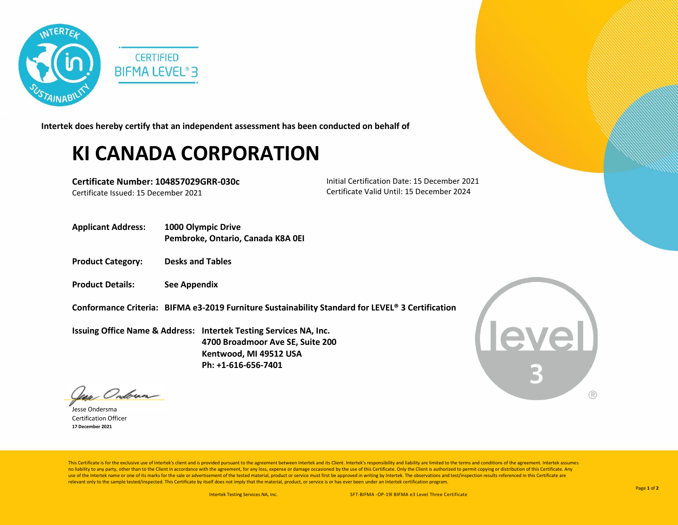

**Intertek does hereby certify that an independent assessment has been conducted on behalf of**

## **KI CANADA CORPORATION**

**Certificate Number: 104857029GRR-030c** Certificate Issued: 15 December 2021

Initial Certification Date: 15 December 2021 Certificate Valid Until: 15 December 2024

- **Applicant Address: 1000 Olympic Drive Pembroke, Ontario, Canada K8A 0EI**
- **Product Category: Desks and Tables**
- **Product Details: See Appendix**
- **Conformance Criteria: BIFMA e3-2019 Furniture Sustainability Standard for LEVEL® 3 Certification**

**Issuing Office Name & Address: Intertek Testing Services NA, Inc. 4700 Broadmoor Ave SE, Suite 200 Kentwood, MI 49512 USA Ph: +1-616-656-7401**



: Onbrun-

Jesse Ondersma Certification Officer **17 December 2021**

This Certificate is for the exclusive use of Intertek's client and is provided pursuant to the agreement between Intertek and its Client. Intertek's responsibility and liability are limited to the terms and conditions of t no liability to any party, other than to the Client in accordance with the agreement, for any loss, expense or damage occasioned by the use of this Certificate. Only the Client is authorized to permit copying or distributi use of the Intertek name or one of its marks for the sale or advertisement of the tested material, product or service must first be approved in writing by Intertek. The observations and test/inspection results referenced i relevant only to the sample tested/inspected. This Certificate by itself does not imply that the material, product, or service is or has ever been under an Intertek certification program.